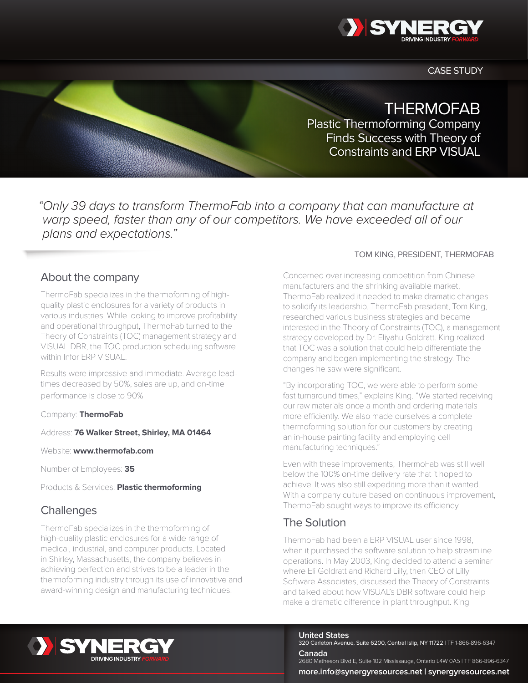

CASE STUDY

# **THERMOFAB**

Plastic Thermoforming Company Finds Success with Theory of Constraints and ERP VISUAL

*"Only 39 days to transform ThermoFab into a company that can manufacture at warp speed, faster than any of our competitors. We have exceeded all of our plans and expectations."*

### About the company

ThermoFab specializes in the thermoforming of highquality plastic enclosures for a variety of products in various industries. While looking to improve profitability and operational throughput, ThermoFab turned to the Theory of Constraints (TOC) management strategy and VISUAL DBR, the TOC production scheduling software within Infor ERP VISUAL.

• Government oversight of casino labor management is up.

• Casino staffing is at the center of the problem. • Effective workforce management can help. • Infor10 WFM Workbrain meets the need.

• Cheating is more sophisticated.

Results were impressive and immediate. Average leadtimes decreased by 50%, sales are up, and on-time performance is close to 90%

Company: **ThermoFab**

Address: **76 Walker Street, Shirley, MA 01464** 

Website: **www.thermofab.com** 

Number of Employees: **35**

Products & Services: **Plastic thermoforming**

## **Challenges**

ThermoFab specializes in the thermoforming of high-quality plastic enclosures for a wide range of medical, industrial, and computer products. Located in Shirley, Massachusetts, the company believes in achieving perfection and strives to be a leader in the thermoforming industry through its use of innovative and award-winning design and manufacturing techniques.

#### TOM KING, PRESIDENT, THERMOFAB

Concerned over increasing competition from Chinese manufacturers and the shrinking available market, ThermoFab realized it needed to make dramatic changes to solidify its leadership. ThermoFab president, Tom King, researched various business strategies and became interested in the Theory of Constraints (TOC), a management strategy developed by Dr. Eliyahu Goldratt. King realized that TOC was a solution that could help differentiate the company and began implementing the strategy. The changes he saw were significant.

"By incorporating TOC, we were able to perform some fast turnaround times," explains King. "We started receiving our raw materials once a month and ordering materials more efficiently. We also made ourselves a complete thermoforming solution for our customers by creating an in-house painting facility and employing cell manufacturing techniques."

Even with these improvements, ThermoFab was still well below the 100% on-time delivery rate that it hoped to achieve. It was also still expediting more than it wanted. With a company culture based on continuous improvement, ThermoFab sought ways to improve its efficiency.

# The Solution

ThermoFab had been a ERP VISUAL user since 1998, when it purchased the software solution to help streamline operations. In May 2003, King decided to attend a seminar where Eli Goldratt and Richard Lilly, then CEO of Lilly Software Associates, discussed the Theory of Constraints and talked about how VISUAL's DBR software could help make a dramatic difference in plant throughput. King



**United States**

320 Carleton Avenue, Suite 6200, Central Islip, NY 11722 | TF 1-866-896-6347 **Canada**

2680 Matheson Blvd E, Suite 102 Mississauga, Ontario L4W 0A5 | TF 866-896-6347 **more.info@synergyresources.net | [synergyresources.net](http://www.synergyresources.net)**